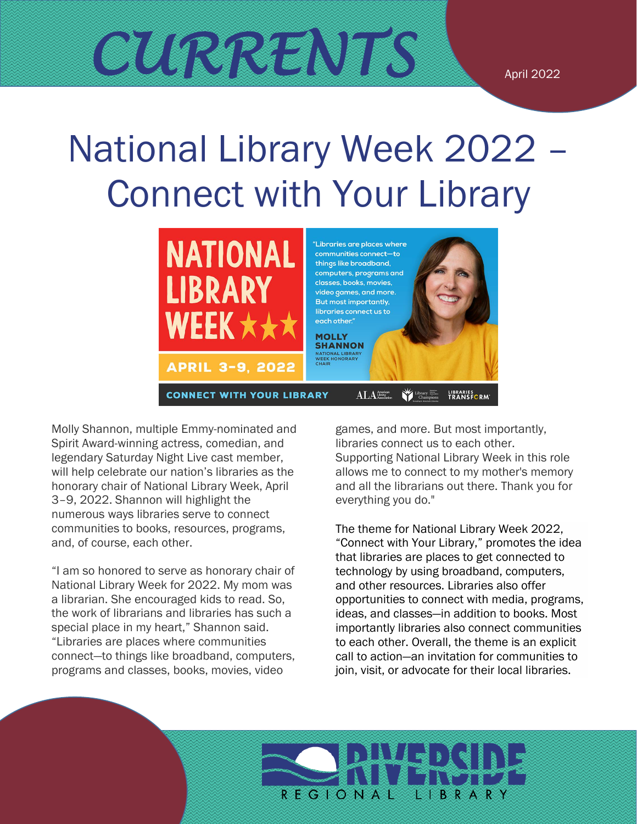# National Library Week 2022 – Connect with Your Library



Molly Shannon, multiple Emmy-nominated and Spirit Award-winning actress, comedian, and legendary Saturday Night Live cast member, will help celebrate our nation's libraries as the honorary chair of National Library Week, April 3–9, 2022. Shannon will highlight the numerous ways libraries serve to connect communities to books, resources, programs, and, of course, each other.

"I am so honored to serve as honorary chair of National Library Week for 2022. My mom was a librarian. She encouraged kids to read. So, the work of librarians and libraries has such a special place in my heart," Shannon said. "Libraries are places where communities connect—to things like broadband, computers, programs and classes, books, movies, video

games, and more. But most importantly, libraries connect us to each other. Supporting National Library Week in this role allows me to connect to my mother's memory and all the librarians out there. Thank you for everything you do."

The theme for National Library Week 2022, "Connect with Your Library," promotes the idea that libraries are places to get connected to technology by using broadband, computers, and other resources. Libraries also offer opportunities to connect with media, programs, ideas, and classes—in addition to books. Most importantly libraries also connect communities to each other. Overall, the theme is an explicit call to action—an invitation for communities to join, visit, or advocate for their local libraries.

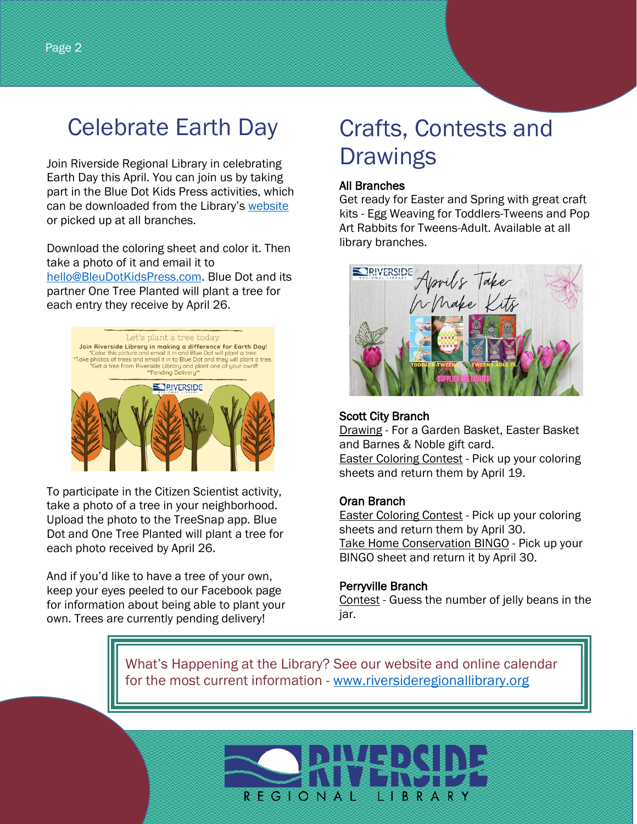## Celebrate Earth Day

Join Riverside Regional Library in celebrating Earth Day this April. You can join us by taking part in the Blue Dot Kids Press activities, which can be downloaded from the Library's [website](http://www.rrlmo.org/) or picked up at all branches.

Download the coloring sheet and color it. Then take a photo of it and email it to [hello@BleuDotKidsPress.com.](mailto:hello@BleuDotKidsPress.com) Blue Dot and its partner One Tree Planted will plant a tree for each entry they receive by April 26.



To participate in the Citizen Scientist activity, take a photo of a tree in your neighborhood. Upload the photo to the TreeSnap app. Blue Dot and One Tree Planted will plant a tree for each photo received by April 26.

And if you'd like to have a tree of your own, keep your eyes peeled to our Facebook page for information about being able to plant your own. Trees are currently pending delivery!

# Crafts, Contests and **Drawings**

#### All Branches

Get ready for Easter and Spring with great craft kits - Egg Weaving for Toddlers-Tweens and Pop Art Rabbits for Tweens-Adult. Available at all library branches.



#### Scott City Branch

Drawing - For a Garden Basket, Easter Basket and Barnes & Noble gift card. Easter Coloring Contest - Pick up your coloring sheets and return them by April 19.

#### Oran Branch

**Easter Coloring Contest - Pick up your coloring** sheets and return them by April 30. Take Home Conservation BINGO - Pick up your BINGO sheet and return it by April 30.

#### Perryville Branch

Contest - Guess the number of jelly beans in the jar.

What's Happening at the Library? See our website and online calendar for the most current information - [www.riversideregionallibrary.org](http://www.riversideregionallibrary.org/)

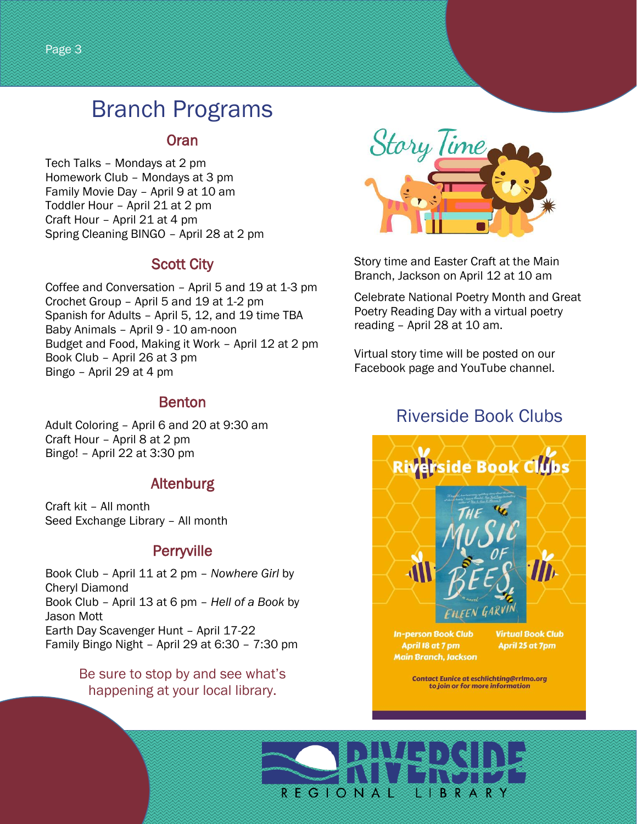### Branch Programs

#### Oran

Tech Talks – Mondays at 2 pm Homework Club – Mondays at 3 pm Family Movie Day – April 9 at 10 am Toddler Hour – April 21 at 2 pm Craft Hour – April 21 at 4 pm Spring Cleaning BINGO – April 28 at 2 pm

#### Scott City

Coffee and Conversation – April 5 and 19 at 1-3 pm Crochet Group – April 5 and 19 at 1-2 pm Spanish for Adults – April 5, 12, and 19 time TBA Baby Animals – April 9 - 10 am-noon Budget and Food, Making it Work – April 12 at 2 pm Book Club – April 26 at 3 pm Bingo – April 29 at 4 pm

#### Benton

Adult Coloring – April 6 and 20 at 9:30 am Craft Hour – April 8 at 2 pm Bingo! – April 22 at 3:30 pm

### Altenburg

Craft kit – All month Seed Exchange Library – All month

#### **Perryville**

Book Club – April 11 at 2 pm – *Nowhere Girl* by Cheryl Diamond Book Club – April 13 at 6 pm – *Hell of a Book* by Jason Mott Earth Day Scavenger Hunt – April 17-22 Family Bingo Night – April 29 at 6:30 – 7:30 pm

> Be sure to stop by and see what's happening at your local library.



Story time and Easter Craft at the Main Branch, Jackson on April 12 at 10 am

Celebrate National Poetry Month and Great Poetry Reading Day with a virtual poetry reading – April 28 at 10 am.

Virtual story time will be posted on our Facebook page and YouTube channel.

### Riverside Book Clubs



**Contact Eunice at eschlichting@rrlmo.org** to join or for more information